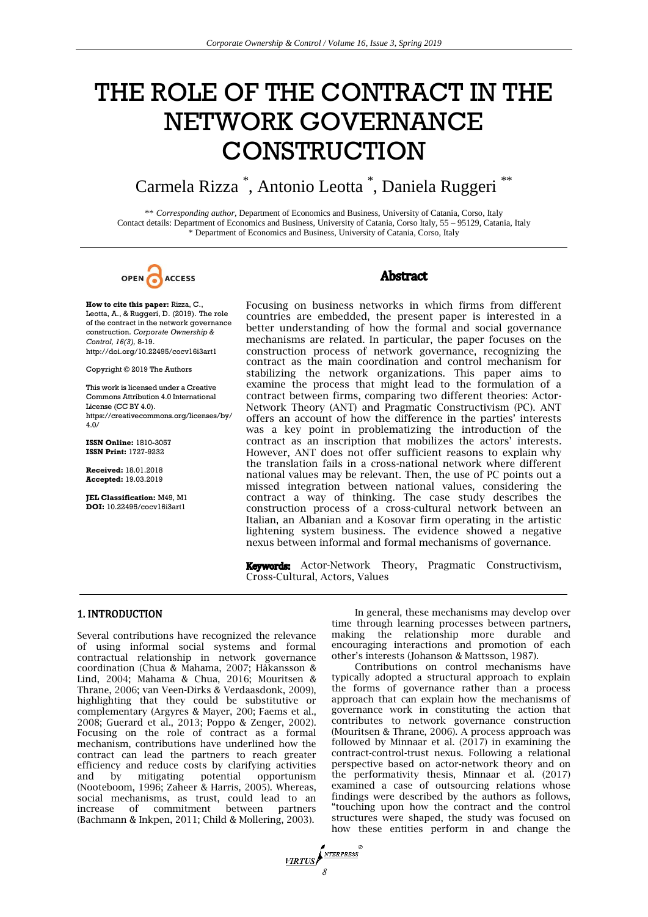# THE ROLE OF THE CONTRACT IN THE NETWORK GOVERNANCE **CONSTRUCTION**

# Carmela Rizza \* , Antonio Leotta \* , Daniela Ruggeri \*\*

\*\* *Corresponding author,* Department of Economics and Business, University of Catania, Corso, Italy Contact details: Department of Economics and Business, University of Catania, Corso Italy, 55 – 95129, Catania, Italy \* Department of Economics and Business, University of Catania, Corso, Italy



# **Abstract**

construction . *Corporate*  of the contract in the network governance

https://creativecommons.org/licenses/by/

**Accepted:** 19.03.2019 **Received:**

**How to cite this paper:** Rizza, C., Focusing on business networks in which firms from different Leotta, A., & Ruggeri, D. (2019). The role countries are embedded the present paper is interested in a countries are embedded, the present paper is interested in a better understanding of how the formal and social governance *Control, 16(3), 8-19.* and *Control, 16(3), 8-19.* mechanisms are related. In particular, the paper focuses on the *Control, 16(3), 8-19.* mechanisms are related. In particular, the paper focuses on the http://doi.org/10 construction process of network governance, recognizing the contract as the main coordination and control mechanism for Copyright © 2019 The Authors stabilizing the network organizations. This paper aims to This work is licensed under a Creative examine the process that might lead to the formulation of a This work is licensed under a Creative examine the process that might lead to the formulation of a<br>Commons Attribution 4.0 International contract between firms, comparing two different theories: Actor-License (CC BY 4.0). Network Theory (ANT) and Pragmatic Constructivism (PC). ANT offers an account of how the difference in the parties' interests was a key point in problematizing the introduction of the **ISSN Online:** 1810-3057 contract as an inscription that mobilizes the actors' interests. **ISSN Print:** 1727-9232 However, ANT does not offer sufficient reasons to explain why the translation fails in a cross-national network where different national values may be relevant. Then, the use of PC points out a missed integration between national values, considering the **JEL Classification:** M49, M1 contract a way of thinking. The case study describes the **DOI:** 10.22495/cocv16i3artl construction process of a cross-cultural network between an construction process of a cross-cultural network between an Italian, an Albanian and a Kosovar firm operating in the artistic lightening system business. The evidence showed a negative nexus between informal and formal mechanisms of governance.

> Keywords: Actor-Network Theory, Pragmatic Constructivism, Cross-Cultural, Actors, Values

#### 1. INTRODUCTION

Several contributions have recognized the relevance of using informal social systems and formal contractual relationship in network governance coordination (Chua & Mahama, 2007; Håkansson & Lind, 2004; Mahama & Chua, 2016; Mouritsen & Thrane, 2006; van Veen-Dirks & Verdaasdonk, 2009), highlighting that they could be substitutive or complementary (Argyres & Mayer, 200; Faems et al., 2008; Guerard et al., 2013; Poppo & Zenger, 2002). Focusing on the role of contract as a formal mechanism, contributions have underlined how the contract can lead the partners to reach greater efficiency and reduce costs by clarifying activities and by mitigating potential opportunism (Nooteboom, 1996; Zaheer & Harris, 2005). Whereas, social mechanisms, as trust, could lead to an increase of commitment between partners (Bachmann & Inkpen, 2011; Child & Mollering, 2003).

In general, these mechanisms may develop over time through learning processes between partners, making the relationship more durable and encouraging interactions and promotion of each other's interests (Johanson & Mattsson, 1987).

Contributions on control mechanisms have typically adopted a structural approach to explain the forms of governance rather than a process approach that can explain how the mechanisms of governance work in constituting the action that contributes to network governance construction (Mouritsen & Thrane, 2006). A process approach was followed by Minnaar et al. (2017) in examining the contract-control-trust nexus. Following a relational perspective based on actor-network theory and on the performativity thesis, Minnaar et al. (2017) examined a case of outsourcing relations whose findings were described by the authors as follows, "touching upon how the contract and the control structures were shaped, the study was focused on how these entities perform in and change the

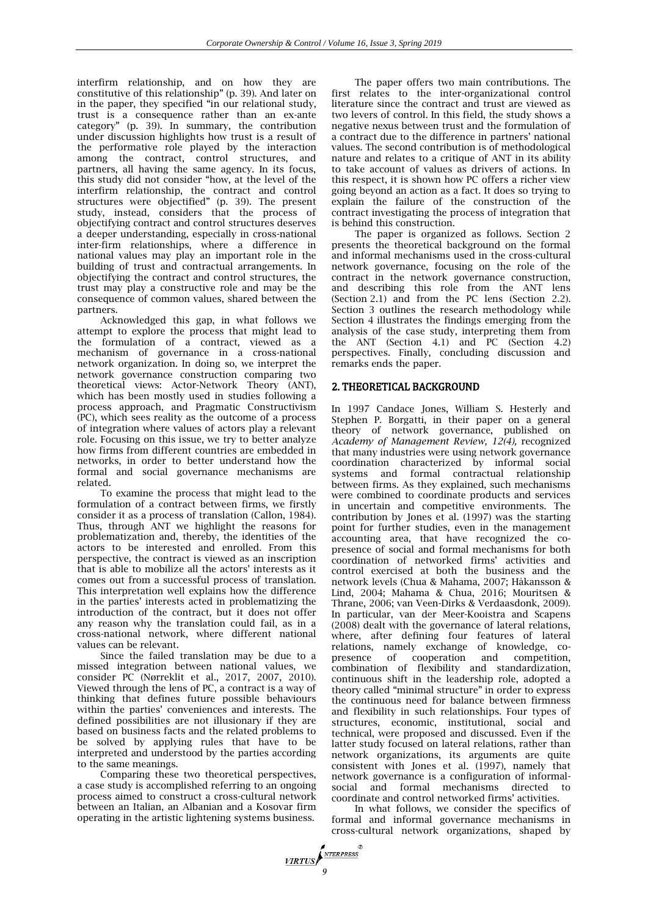interfirm relationship, and on how they are constitutive of this relationship" (p. 39). And later on in the paper, they specified "in our relational study, trust is a consequence rather than an ex-ante category" (p. 39). In summary, the contribution under discussion highlights how trust is a result of the performative role played by the interaction among the contract, control structures, and partners, all having the same agency. In its focus, this study did not consider "how, at the level of the interfirm relationship, the contract and control structures were objectified" (p. 39). The present study, instead, considers that the process of objectifying contract and control structures deserves a deeper understanding, especially in cross-national inter-firm relationships, where a difference in national values may play an important role in the building of trust and contractual arrangements. In objectifying the contract and control structures, the trust may play a constructive role and may be the consequence of common values, shared between the partners.

Acknowledged this gap, in what follows we attempt to explore the process that might lead to the formulation of a contract, viewed as a mechanism of governance in a cross-national network organization. In doing so, we interpret the network governance construction comparing two theoretical views: Actor-Network Theory (ANT), which has been mostly used in studies following a process approach, and Pragmatic Constructivism (PC), which sees reality as the outcome of a process of integration where values of actors play a relevant role. Focusing on this issue, we try to better analyze how firms from different countries are embedded in networks, in order to better understand how the formal and social governance mechanisms are related.

To examine the process that might lead to the formulation of a contract between firms, we firstly consider it as a process of translation (Callon, 1984). Thus, through ANT we highlight the reasons for problematization and, thereby, the identities of the actors to be interested and enrolled. From this perspective, the contract is viewed as an inscription that is able to mobilize all the actors' interests as it comes out from a successful process of translation. This interpretation well explains how the difference in the parties' interests acted in problematizing the introduction of the contract, but it does not offer any reason why the translation could fail, as in a cross-national network, where different national values can be relevant.

Since the failed translation may be due to a missed integration between national values, we consider PC (Nørreklit et al., 2017, 2007, 2010). Viewed through the lens of PC, a contract is a way of thinking that defines future possible behaviours within the parties' conveniences and interests. The defined possibilities are not illusionary if they are based on business facts and the related problems to be solved by applying rules that have to be interpreted and understood by the parties according to the same meanings.

Comparing these two theoretical perspectives, a case study is accomplished referring to an ongoing process aimed to construct a cross-cultural network between an Italian, an Albanian and a Kosovar firm operating in the artistic lightening systems business.

*MRTUS* 

The paper offers two main contributions. The first relates to the inter-organizational control literature since the contract and trust are viewed as two levers of control. In this field, the study shows a negative nexus between trust and the formulation of a contract due to the difference in partners' national values. The second contribution is of methodological nature and relates to a critique of ANT in its ability to take account of values as drivers of actions. In this respect, it is shown how PC offers a richer view going beyond an action as a fact. It does so trying to explain the failure of the construction of the contract investigating the process of integration that is behind this construction.

The paper is organized as follows. Section 2 presents the theoretical background on the formal and informal mechanisms used in the cross-cultural network governance, focusing on the role of the contract in the network governance construction, and describing this role from the ANT lens (Section 2.1) and from the PC lens (Section 2.2). Section 3 outlines the research methodology while Section 4 illustrates the findings emerging from the analysis of the case study, interpreting them from the ANT (Section 4.1) and PC (Section 4.2) perspectives. Finally, concluding discussion and remarks ends the paper.

# 2. THEORETICAL BACKGROUND

In 1997 Candace Jones, William S. Hesterly and Stephen P. Borgatti, in their paper on a general theory of network governance, published on *Academy of Management Review, 12(4),* recognized that many industries were using network governance coordination characterized by informal social systems and formal contractual relationship between firms. As they explained, such mechanisms were combined to coordinate products and services in uncertain and competitive environments. The contribution by Jones et al. (1997) was the starting point for further studies, even in the management accounting area, that have recognized the copresence of social and formal mechanisms for both coordination of networked firms' activities and control exercised at both the business and the network levels (Chua & Mahama, 2007; Håkansson & Lind, 2004; Mahama & Chua, 2016; Mouritsen & Thrane, 2006; van Veen-Dirks & Verdaasdonk, 2009). In particular, van der Meer-Kooistra and Scapens (2008) dealt with the governance of lateral relations, where, after defining four features of lateral relations, namely exchange of knowledge, copresence of cooperation and competition, combination of flexibility and standardization, continuous shift in the leadership role, adopted a theory called "minimal structure" in order to express the continuous need for balance between firmness and flexibility in such relationships. Four types of structures, economic, institutional, social and technical, were proposed and discussed. Even if the latter study focused on lateral relations, rather than network organizations, its arguments are quite consistent with Jones et al. (1997), namely that network governance is a configuration of informalsocial and formal mechanisms directed to coordinate and control networked firms' activities.

In what follows, we consider the specifics of formal and informal governance mechanisms in cross-cultural network organizations, shaped by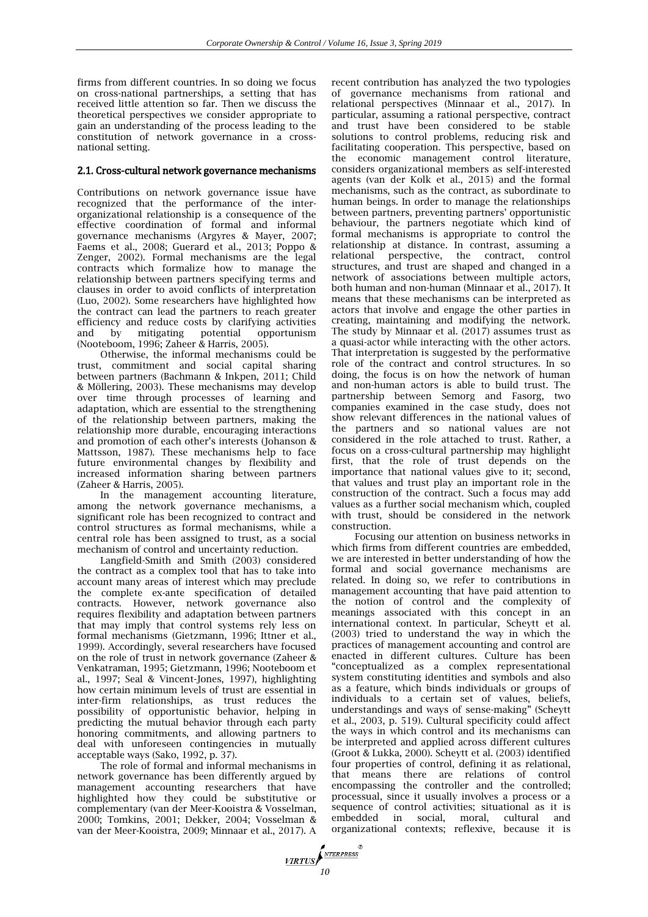firms from different countries. In so doing we focus on cross-national partnerships, a setting that has received little attention so far. Then we discuss the theoretical perspectives we consider appropriate to gain an understanding of the process leading to the constitution of network governance in a crossnational setting.

# 2.1. Cross-cultural network governance mechanisms

Contributions on network governance issue have recognized that the performance of the interorganizational relationship is a consequence of the effective coordination of formal and informal governance mechanisms (Argyres & Mayer, 2007; Faems et al., 2008; Guerard et al., 2013; Poppo & Zenger, 2002). Formal mechanisms are the legal contracts which formalize how to manage the relationship between partners specifying terms and clauses in order to avoid conflicts of interpretation (Luo, 2002). Some researchers have highlighted how the contract can lead the partners to reach greater efficiency and reduce costs by clarifying activities and by mitigating potential opportunism (Nooteboom, 1996; Zaheer & Harris, 2005).

Otherwise, the informal mechanisms could be trust, commitment and social capital sharing between partners (Bachmann & Inkpen, 2011; Child & Möllering, 2003). These mechanisms may develop over time through processes of learning and adaptation, which are essential to the strengthening of the relationship between partners, making the relationship more durable, encouraging interactions and promotion of each other's interests (Johanson & Mattsson, 1987). These mechanisms help to face future environmental changes by flexibility and increased information sharing between partners (Zaheer & Harris, 2005).

In the management accounting literature, among the network governance mechanisms, a significant role has been recognized to contract and control structures as formal mechanisms, while a central role has been assigned to trust, as a social mechanism of control and uncertainty reduction.

Langfield-Smith and Smith (2003) considered the contract as a complex tool that has to take into account many areas of interest which may preclude the complete ex-ante specification of detailed contracts. However, network governance also requires flexibility and adaptation between partners that may imply that control systems rely less on formal mechanisms (Gietzmann, 1996; Ittner et al., 1999). Accordingly, several researchers have focused on the role of trust in network governance (Zaheer & Venkatraman, 1995; Gietzmann, 1996; Nooteboom et al., 1997; Seal & Vincent-Jones, 1997), highlighting how certain minimum levels of trust are essential in inter-firm relationships, as trust reduces the possibility of opportunistic behavior, helping in predicting the mutual behavior through each party honoring commitments, and allowing partners to deal with unforeseen contingencies in mutually acceptable ways (Sako, 1992, p. 37).

The role of formal and informal mechanisms in network governance has been differently argued by management accounting researchers that have highlighted how they could be substitutive or complementary (van der Meer-Kooistra & Vosselman, 2000; Tomkins, 2001; Dekker, 2004; Vosselman & van der Meer-Kooistra, 2009; Minnaar et al., 2017). A recent contribution has analyzed the two typologies of governance mechanisms from rational and relational perspectives (Minnaar et al., 2017). In particular, assuming a rational perspective, contract and trust have been considered to be stable solutions to control problems, reducing risk and facilitating cooperation. This perspective, based on the economic management control literature, considers organizational members as self-interested agents (van der Kolk et al., 2015) and the formal mechanisms, such as the contract, as subordinate to human beings. In order to manage the relationships between partners, preventing partners' opportunistic behaviour, the partners negotiate which kind of formal mechanisms is appropriate to control the relationship at distance. In contrast, assuming a relational perspective, the contract, control structures, and trust are shaped and changed in a network of associations between multiple actors, both human and non-human (Minnaar et al., 2017). It means that these mechanisms can be interpreted as actors that involve and engage the other parties in creating, maintaining and modifying the network. The study by Minnaar et al. (2017) assumes trust as a quasi-actor while interacting with the other actors. That interpretation is suggested by the performative role of the contract and control structures. In so doing, the focus is on how the network of human and non-human actors is able to build trust. The partnership between Semorg and Fasorg, two companies examined in the case study, does not show relevant differences in the national values of the partners and so national values are not considered in the role attached to trust. Rather, a focus on a cross-cultural partnership may highlight first, that the role of trust depends on the importance that national values give to it; second, that values and trust play an important role in the construction of the contract. Such a focus may add values as a further social mechanism which, coupled with trust, should be considered in the network construction.

Focusing our attention on business networks in which firms from different countries are embedded, we are interested in better understanding of how the formal and social governance mechanisms are related. In doing so, we refer to contributions in management accounting that have paid attention to the notion of control and the complexity of meanings associated with this concept in an international context. In particular, Scheytt et al. (2003) tried to understand the way in which the practices of management accounting and control are enacted in different cultures. Culture has been "conceptualized as a complex representational system constituting identities and symbols and also as a feature, which binds individuals or groups of individuals to a certain set of values, beliefs, understandings and ways of sense-making" (Scheytt et al., 2003, p. 519). Cultural specificity could affect the ways in which control and its mechanisms can be interpreted and applied across different cultures (Groot & Lukka, 2000). Scheytt et al. (2003) identified four properties of control, defining it as relational, that means there are relations of control encompassing the controller and the controlled; processual, since it usually involves a process or a sequence of control activities; situational as it is embedded in social, moral, cultural and organizational contexts; reflexive, because it is

*VIRTUS*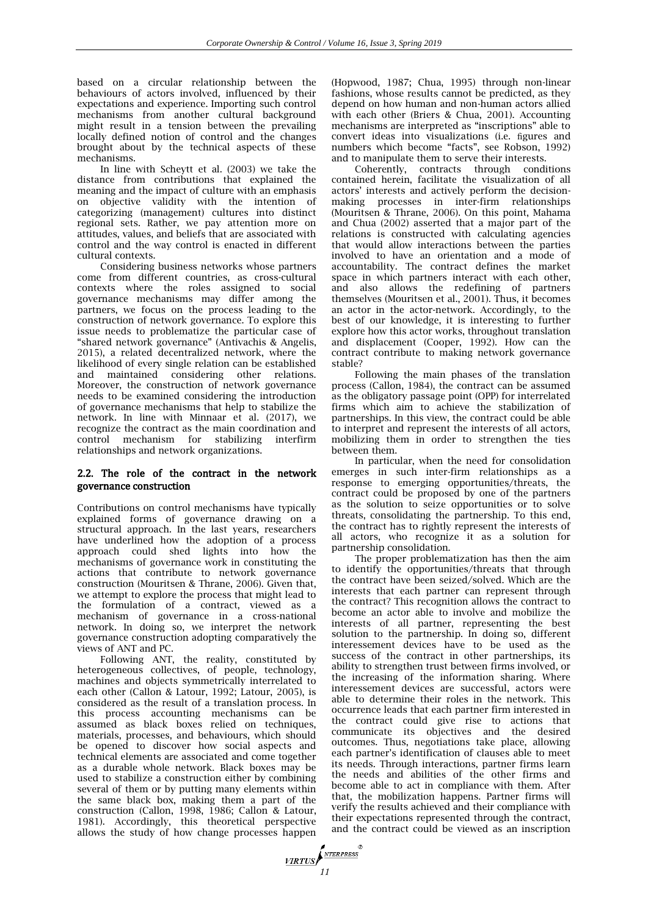based on a circular relationship between the behaviours of actors involved, influenced by their expectations and experience. Importing such control mechanisms from another cultural background might result in a tension between the prevailing locally defined notion of control and the changes brought about by the technical aspects of these mechanisms.

In line with Scheytt et al. (2003) we take the distance from contributions that explained the meaning and the impact of culture with an emphasis on objective validity with the intention of categorizing (management) cultures into distinct regional sets. Rather, we pay attention more on attitudes, values, and beliefs that are associated with control and the way control is enacted in different cultural contexts.

Considering business networks whose partners come from different countries, as cross-cultural contexts where the roles assigned to social governance mechanisms may differ among the partners, we focus on the process leading to the construction of network governance. To explore this issue needs to problematize the particular case of "shared network governance" (Antivachis & Angelis, 2015), a related decentralized network, where the likelihood of every single relation can be established and maintained considering other relations. Moreover, the construction of network governance needs to be examined considering the introduction of governance mechanisms that help to stabilize the network. In line with Minnaar et al. (2017), we recognize the contract as the main coordination and control mechanism for stabilizing interfirm relationships and network organizations.

# 2.2. The role of the contract in the network governance construction

Contributions on control mechanisms have typically explained forms of governance drawing on a structural approach. In the last years, researchers have underlined how the adoption of a process approach could shed lights into how the mechanisms of governance work in constituting the actions that contribute to network governance construction (Mouritsen & Thrane, 2006). Given that, we attempt to explore the process that might lead to the formulation of a contract, viewed as a mechanism of governance in a cross-national network. In doing so, we interpret the network governance construction adopting comparatively the views of ANT and PC.

Following ANT, the reality, constituted by heterogeneous collectives, of people, technology, machines and objects symmetrically interrelated to each other (Callon & Latour, 1992; Latour, 2005), is considered as the result of a translation process. In this process accounting mechanisms can be assumed as black boxes relied on techniques, materials, processes, and behaviours, which should be opened to discover how social aspects and technical elements are associated and come together as a durable whole network. Black boxes may be used to stabilize a construction either by combining several of them or by putting many elements within the same black box, making them a part of the construction (Callon, 1998, 1986; Callon & Latour, 1981). Accordingly, this theoretical perspective allows the study of how change processes happen

(Hopwood, 1987; Chua, 1995) through non-linear fashions, whose results cannot be predicted, as they depend on how human and non-human actors allied with each other (Briers & Chua, 2001). Accounting mechanisms are interpreted as "inscriptions" able to convert ideas into visualizations (i.e. figures and numbers which become "facts", see Robson, 1992) and to manipulate them to serve their interests.

Coherently, contracts through conditions contained herein, facilitate the visualization of all actors' interests and actively perform the decisionmaking processes in inter-firm relationships (Mouritsen & Thrane, 2006). On this point, Mahama and Chua (2002) asserted that a major part of the relations is constructed with calculating agencies that would allow interactions between the parties involved to have an orientation and a mode of accountability. The contract defines the market space in which partners interact with each other, and also allows the redefining of partners themselves (Mouritsen et al., 2001). Thus, it becomes an actor in the actor-network. Accordingly, to the best of our knowledge, it is interesting to further explore how this actor works, throughout translation and displacement (Cooper, 1992). How can the contract contribute to making network governance stable?

Following the main phases of the translation process (Callon, 1984), the contract can be assumed as the obligatory passage point (OPP) for interrelated firms which aim to achieve the stabilization of partnerships. In this view, the contract could be able to interpret and represent the interests of all actors, mobilizing them in order to strengthen the ties between them.

In particular, when the need for consolidation emerges in such inter-firm relationships as a response to emerging opportunities/threats, the contract could be proposed by one of the partners as the solution to seize opportunities or to solve threats, consolidating the partnership. To this end, the contract has to rightly represent the interests of all actors, who recognize it as a solution for partnership consolidation.

The proper problematization has then the aim to identify the opportunities/threats that through the contract have been seized/solved. Which are the interests that each partner can represent through the contract? This recognition allows the contract to become an actor able to involve and mobilize the interests of all partner, representing the best solution to the partnership. In doing so, different interessement devices have to be used as the success of the contract in other partnerships, its ability to strengthen trust between firms involved, or the increasing of the information sharing. Where interessement devices are successful, actors were able to determine their roles in the network. This occurrence leads that each partner firm interested in the contract could give rise to actions that communicate its objectives and the desired outcomes. Thus, negotiations take place, allowing each partner's identification of clauses able to meet its needs. Through interactions, partner firms learn the needs and abilities of the other firms and become able to act in compliance with them. After that, the mobilization happens. Partner firms will verify the results achieved and their compliance with their expectations represented through the contract, and the contract could be viewed as an inscription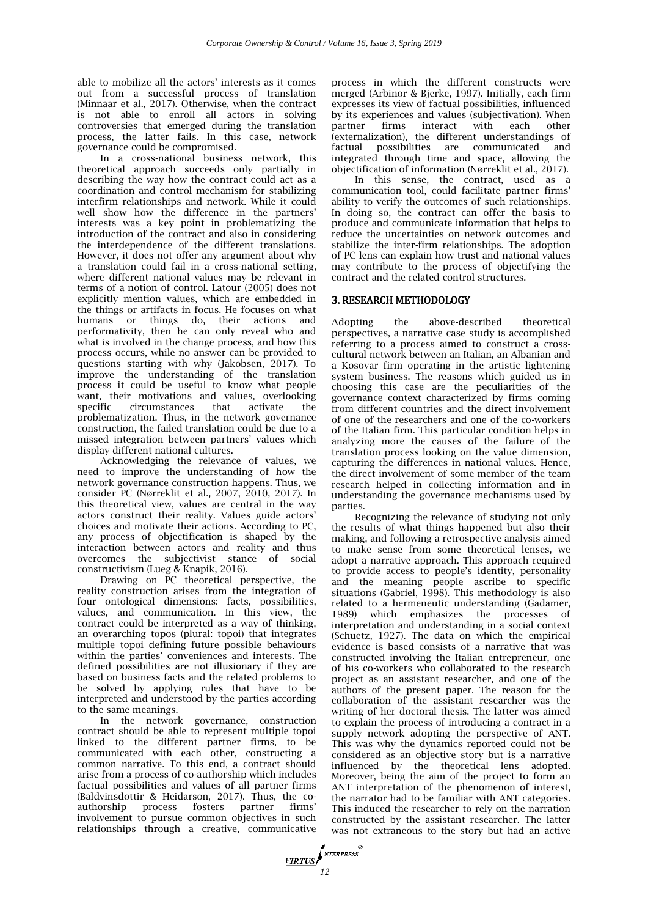able to mobilize all the actors' interests as it comes out from a successful process of translation (Minnaar et al., 2017). Otherwise, when the contract is not able to enroll all actors in solving controversies that emerged during the translation process, the latter fails. In this case, network governance could be compromised.

In a cross-national business network, this theoretical approach succeeds only partially in describing the way how the contract could act as a coordination and control mechanism for stabilizing interfirm relationships and network. While it could well show how the difference in the partners' interests was a key point in problematizing the introduction of the contract and also in considering the interdependence of the different translations. However, it does not offer any argument about why a translation could fail in a cross-national setting, where different national values may be relevant in terms of a notion of control. Latour (2005) does not explicitly mention values, which are embedded in the things or artifacts in focus. He focuses on what humans or things do, their actions and performativity, then he can only reveal who and what is involved in the change process, and how this process occurs, while no answer can be provided to questions starting with why (Jakobsen, 2017). To improve the understanding of the translation process it could be useful to know what people want, their motivations and values, overlooking specific circumstances that activate the problematization. Thus, in the network governance construction, the failed translation could be due to a missed integration between partners' values which display different national cultures.

Acknowledging the relevance of values, we need to improve the understanding of how the network governance construction happens. Thus, we consider PC (Nørreklit et al., 2007, 2010, 2017). In this theoretical view, values are central in the way actors construct their reality. Values guide actors' choices and motivate their actions. According to PC, any process of objectification is shaped by the interaction between actors and reality and thus overcomes the subjectivist stance of social constructivism (Lueg & Knapik, 2016).

Drawing on PC theoretical perspective, the reality construction arises from the integration of four ontological dimensions: facts, possibilities, values, and communication. In this view, the contract could be interpreted as a way of thinking, an overarching topos (plural: topoi) that integrates multiple topoi defining future possible behaviours within the parties' conveniences and interests. The defined possibilities are not illusionary if they are based on business facts and the related problems to be solved by applying rules that have to be interpreted and understood by the parties according to the same meanings.

In the network governance, construction contract should be able to represent multiple topoi linked to the different partner firms, to be communicated with each other, constructing a common narrative. To this end, a contract should arise from a process of co-authorship which includes factual possibilities and values of all partner firms (Baldvinsdottir & Heidarson, 2017). Thus, the co-<br>authorship process fosters partner firms' authorship process fosters partner firms' involvement to pursue common objectives in such relationships through a creative, communicative

*VIRTUS* 

process in which the different constructs were merged (Arbinor & Bjerke, 1997). Initially, each firm expresses its view of factual possibilities, influenced by its experiences and values (subjectivation). When partner firms interact with each other (externalization), the different understandings of factual possibilities are communicated integrated through time and space, allowing the objectification of information (Nørreklit et al., 2017).

In this sense, the contract, used as a communication tool, could facilitate partner firms' ability to verify the outcomes of such relationships. In doing so, the contract can offer the basis to produce and communicate information that helps to reduce the uncertainties on network outcomes and stabilize the inter-firm relationships. The adoption of PC lens can explain how trust and national values may contribute to the process of objectifying the contract and the related control structures.

# 3. RESEARCH METHODOLOGY

Adopting the above-described theoretical perspectives, a narrative case study is accomplished referring to a process aimed to construct a crosscultural network between an Italian, an Albanian and a Kosovar firm operating in the artistic lightening system business. The reasons which guided us in choosing this case are the peculiarities of the governance context characterized by firms coming from different countries and the direct involvement of one of the researchers and one of the co-workers of the Italian firm. This particular condition helps in analyzing more the causes of the failure of the translation process looking on the value dimension, capturing the differences in national values. Hence, the direct involvement of some member of the team research helped in collecting information and in understanding the governance mechanisms used by parties.

Recognizing the relevance of studying not only the results of what things happened but also their making, and following a retrospective analysis aimed to make sense from some theoretical lenses, we adopt a narrative approach. This approach required to provide access to people's identity, personality and the meaning people ascribe to specific situations (Gabriel,  $1998$ ). This methodology is also related to a hermeneutic understanding (Gadamer, 1989) which emphasizes the processes of interpretation and understanding in a social context (Schuetz, 1927). The data on which the empirical evidence is based consists of a narrative that was constructed involving the Italian entrepreneur, one of his co-workers who collaborated to the research project as an assistant researcher, and one of the authors of the present paper. The reason for the collaboration of the assistant researcher was the writing of her doctoral thesis. The latter was aimed to explain the process of introducing a contract in a supply network adopting the perspective of ANT. This was why the dynamics reported could not be considered as an objective story but is a narrative influenced by the theoretical lens adopted. Moreover, being the aim of the project to form an ANT interpretation of the phenomenon of interest, the narrator had to be familiar with ANT categories. This induced the researcher to rely on the narration constructed by the assistant researcher. The latter was not extraneous to the story but had an active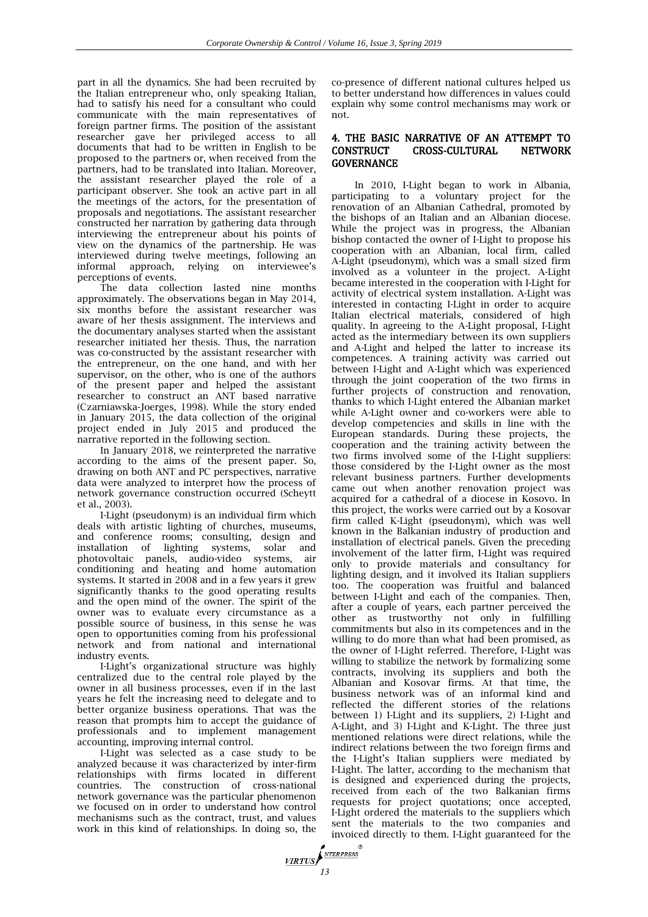part in all the dynamics. She had been recruited by the Italian entrepreneur who, only speaking Italian, had to satisfy his need for a consultant who could communicate with the main representatives of foreign partner firms. The position of the assistant researcher gave her privileged access to all documents that had to be written in English to be proposed to the partners or, when received from the partners, had to be translated into Italian. Moreover, the assistant researcher played the role of a participant observer. She took an active part in all the meetings of the actors, for the presentation of proposals and negotiations. The assistant researcher constructed her narration by gathering data through interviewing the entrepreneur about his points of view on the dynamics of the partnership. He was interviewed during twelve meetings, following an informal approach, relying on interviewee's perceptions of events.

The data collection lasted nine months approximately. The observations began in May 2014, six months before the assistant researcher was aware of her thesis assignment. The interviews and the documentary analyses started when the assistant researcher initiated her thesis. Thus, the narration was co-constructed by the assistant researcher with the entrepreneur, on the one hand, and with her supervisor, on the other, who is one of the authors of the present paper and helped the assistant researcher to construct an ANT based narrative (Czarniawska-Joerges, 1998). While the story ended in January 2015, the data collection of the original project ended in July 2015 and produced the narrative reported in the following section.

In January 2018, we reinterpreted the narrative according to the aims of the present paper. So, drawing on both ANT and PC perspectives, narrative data were analyzed to interpret how the process of network governance construction occurred (Scheytt et al., 2003).

I-Light (pseudonym) is an individual firm which deals with artistic lighting of churches, museums, and conference rooms; consulting, design and installation of lighting systems, solar and photovoltaic panels, audio-video systems, air conditioning and heating and home automation systems. It started in 2008 and in a few years it grew significantly thanks to the good operating results and the open mind of the owner. The spirit of the owner was to evaluate every circumstance as a possible source of business, in this sense he was open to opportunities coming from his professional network and from national and international industry events.

I-Light's organizational structure was highly centralized due to the central role played by the owner in all business processes, even if in the last years he felt the increasing need to delegate and to better organize business operations. That was the reason that prompts him to accept the guidance of professionals and to implement management accounting, improving internal control.

I-Light was selected as a case study to be analyzed because it was characterized by inter-firm relationships with firms located in different countries. The construction of cross-national network governance was the particular phenomenon we focused on in order to understand how control mechanisms such as the contract, trust, and values work in this kind of relationships. In doing so, the

co-presence of different national cultures helped us to better understand how differences in values could explain why some control mechanisms may work or not.

# 4. THE BASIC NARRATIVE OF AN ATTEMPT TO CONSTRUCT CROSS-CULTURAL NETWORK **GOVERNANCE**

In 2010, I-Light began to work in Albania, participating to a voluntary project for the renovation of an Albanian Cathedral, promoted by the bishops of an Italian and an Albanian diocese. While the project was in progress, the Albanian bishop contacted the owner of I-Light to propose his cooperation with an Albanian, local firm, called A-Light (pseudonym), which was a small sized firm involved as a volunteer in the project. A-Light became interested in the cooperation with I-Light for activity of electrical system installation. A-Light was interested in contacting I-Light in order to acquire Italian electrical materials, considered of high quality. In agreeing to the A-Light proposal, I-Light acted as the intermediary between its own suppliers and A-Light and helped the latter to increase its competences. A training activity was carried out between I-Light and A-Light which was experienced through the joint cooperation of the two firms in further projects of construction and renovation, thanks to which I-Light entered the Albanian market while A-Light owner and co-workers were able to develop competencies and skills in line with the European standards. During these projects, the cooperation and the training activity between the two firms involved some of the I-Light suppliers: those considered by the I-Light owner as the most relevant business partners. Further developments came out when another renovation project was acquired for a cathedral of a diocese in Kosovo. In this project, the works were carried out by a Kosovar firm called K-Light (pseudonym), which was well known in the Balkanian industry of production and installation of electrical panels. Given the preceding involvement of the latter firm, I-Light was required only to provide materials and consultancy for lighting design, and it involved its Italian suppliers too. The cooperation was fruitful and balanced between I-Light and each of the companies. Then, after a couple of years, each partner perceived the other as trustworthy not only in fulfilling commitments but also in its competences and in the willing to do more than what had been promised, as the owner of I-Light referred. Therefore, I-Light was willing to stabilize the network by formalizing some contracts, involving its suppliers and both the Albanian and Kosovar firms. At that time, the business network was of an informal kind and reflected the different stories of the relations between 1) I-Light and its suppliers, 2) I-Light and A-Light, and 3) I-Light and K-Light. The three just mentioned relations were direct relations, while the indirect relations between the two foreign firms and the I-Light's Italian suppliers were mediated by I-Light. The latter, according to the mechanism that is designed and experienced during the projects, received from each of the two Balkanian firms requests for project quotations; once accepted, I-Light ordered the materials to the suppliers which sent the materials to the two companies and invoiced directly to them. I-Light guaranteed for the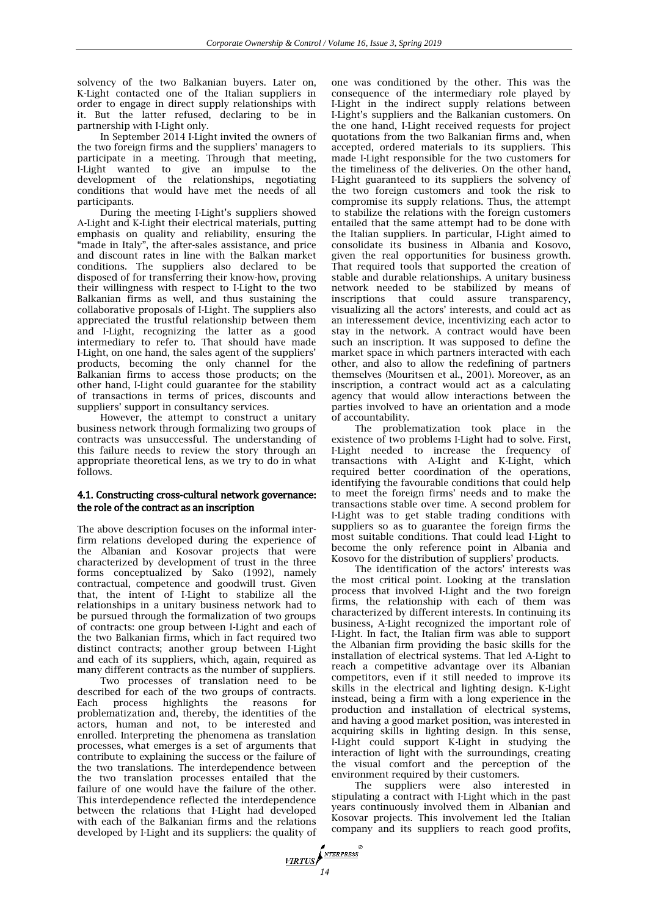solvency of the two Balkanian buyers. Later on, K-Light contacted one of the Italian suppliers in order to engage in direct supply relationships with it. But the latter refused, declaring to be in partnership with I-Light only.

In September 2014 I-Light invited the owners of the two foreign firms and the suppliers' managers to participate in a meeting. Through that meeting, I-Light wanted to give an impulse to the development of the relationships, negotiating conditions that would have met the needs of all participants.

During the meeting I-Light's suppliers showed A-Light and K-Light their electrical materials, putting emphasis on quality and reliability, ensuring the "made in Italy", the after-sales assistance, and price and discount rates in line with the Balkan market conditions. The suppliers also declared to be disposed of for transferring their know-how, proving their willingness with respect to I-Light to the two Balkanian firms as well, and thus sustaining the collaborative proposals of I-Light. The suppliers also appreciated the trustful relationship between them and I-Light, recognizing the latter as a good intermediary to refer to. That should have made I-Light, on one hand, the sales agent of the suppliers' products, becoming the only channel for the Balkanian firms to access those products; on the other hand, I-Light could guarantee for the stability of transactions in terms of prices, discounts and suppliers' support in consultancy services.

However, the attempt to construct a unitary business network through formalizing two groups of contracts was unsuccessful. The understanding of this failure needs to review the story through an appropriate theoretical lens, as we try to do in what follows.

# 4.1. Constructing cross-cultural network governance: the role of the contract as an inscription

The above description focuses on the informal interfirm relations developed during the experience of the Albanian and Kosovar projects that were characterized by development of trust in the three forms conceptualized by Sako (1992), namely contractual, competence and goodwill trust. Given that, the intent of I-Light to stabilize all the relationships in a unitary business network had to be pursued through the formalization of two groups of contracts: one group between I-Light and each of the two Balkanian firms, which in fact required two distinct contracts; another group between I-Light and each of its suppliers, which, again, required as many different contracts as the number of suppliers.

Two processes of translation need to be described for each of the two groups of contracts. Each process highlights the reasons for problematization and, thereby, the identities of the actors, human and not, to be interested and enrolled. Interpreting the phenomena as translation processes, what emerges is a set of arguments that contribute to explaining the success or the failure of the two translations. The interdependence between the two translation processes entailed that the failure of one would have the failure of the other. This interdependence reflected the interdependence between the relations that I-Light had developed with each of the Balkanian firms and the relations developed by I-Light and its suppliers: the quality of

one was conditioned by the other. This was the consequence of the intermediary role played by I-Light in the indirect supply relations between I-Light's suppliers and the Balkanian customers. On the one hand, I-Light received requests for project quotations from the two Balkanian firms and, when accepted, ordered materials to its suppliers. This made I-Light responsible for the two customers for the timeliness of the deliveries. On the other hand, I-Light guaranteed to its suppliers the solvency of the two foreign customers and took the risk to compromise its supply relations. Thus, the attempt to stabilize the relations with the foreign customers entailed that the same attempt had to be done with the Italian suppliers. In particular, I-Light aimed to consolidate its business in Albania and Kosovo, given the real opportunities for business growth. That required tools that supported the creation of stable and durable relationships. A unitary business network needed to be stabilized by means of inscriptions that could assure transparency, visualizing all the actors' interests, and could act as an interessement device, incentivizing each actor to stay in the network. A contract would have been such an inscription. It was supposed to define the market space in which partners interacted with each other, and also to allow the redefining of partners themselves (Mouritsen et al., 2001). Moreover, as an inscription, a contract would act as a calculating agency that would allow interactions between the parties involved to have an orientation and a mode of accountability.

The problematization took place in the existence of two problems I-Light had to solve. First, I-Light needed to increase the frequency of transactions with A-Light and K-Light, which required better coordination of the operations, identifying the favourable conditions that could help to meet the foreign firms' needs and to make the transactions stable over time. A second problem for I-Light was to get stable trading conditions with suppliers so as to guarantee the foreign firms the most suitable conditions. That could lead I-Light to become the only reference point in Albania and Kosovo for the distribution of suppliers' products.

The identification of the actors' interests was the most critical point. Looking at the translation process that involved I-Light and the two foreign firms, the relationship with each of them was characterized by different interests. In continuing its business, A-Light recognized the important role of I-Light. In fact, the Italian firm was able to support the Albanian firm providing the basic skills for the installation of electrical systems. That led A-Light to reach a competitive advantage over its Albanian competitors, even if it still needed to improve its skills in the electrical and lighting design. K-Light instead, being a firm with a long experience in the production and installation of electrical systems, and having a good market position, was interested in acquiring skills in lighting design. In this sense, I-Light could support K-Light in studying the interaction of light with the surroundings, creating the visual comfort and the perception of the environment required by their customers.

The suppliers were also interested in stipulating a contract with I-Light which in the past years continuously involved them in Albanian and Kosovar projects. This involvement led the Italian company and its suppliers to reach good profits,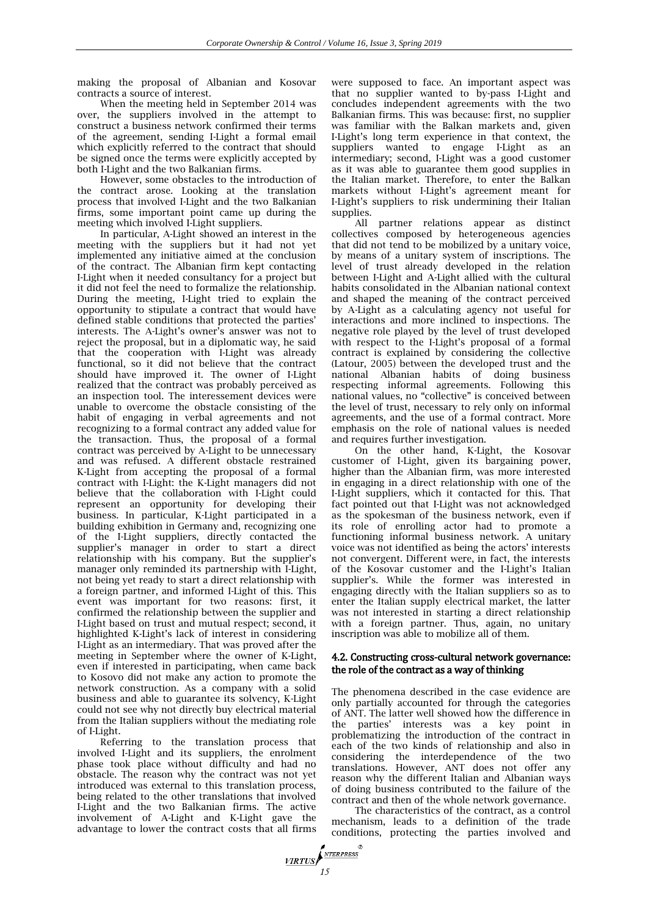making the proposal of Albanian and Kosovar contracts a source of interest.

When the meeting held in September 2014 was over, the suppliers involved in the attempt to construct a business network confirmed their terms of the agreement, sending I-Light a formal email which explicitly referred to the contract that should be signed once the terms were explicitly accepted by both I-Light and the two Balkanian firms.

However, some obstacles to the introduction of the contract arose. Looking at the translation process that involved I-Light and the two Balkanian firms, some important point came up during the meeting which involved I-Light suppliers.

In particular, A-Light showed an interest in the meeting with the suppliers but it had not yet implemented any initiative aimed at the conclusion of the contract. The Albanian firm kept contacting I-Light when it needed consultancy for a project but it did not feel the need to formalize the relationship. During the meeting, I-Light tried to explain the opportunity to stipulate a contract that would have defined stable conditions that protected the parties' interests. The A-Light's owner's answer was not to reject the proposal, but in a diplomatic way, he said that the cooperation with I-Light was already functional, so it did not believe that the contract should have improved it. The owner of I-Light realized that the contract was probably perceived as an inspection tool. The interessement devices were unable to overcome the obstacle consisting of the habit of engaging in verbal agreements and not recognizing to a formal contract any added value for the transaction. Thus, the proposal of a formal contract was perceived by A-Light to be unnecessary and was refused. A different obstacle restrained K-Light from accepting the proposal of a formal contract with I-Light: the K-Light managers did not believe that the collaboration with I-Light could represent an opportunity for developing their business. In particular, K-Light participated in a building exhibition in Germany and, recognizing one of the I-Light suppliers, directly contacted the supplier's manager in order to start a direct relationship with his company. But the supplier's manager only reminded its partnership with I-Light, not being yet ready to start a direct relationship with a foreign partner, and informed I-Light of this. This event was important for two reasons: first, it confirmed the relationship between the supplier and I-Light based on trust and mutual respect; second, it highlighted K-Light's lack of interest in considering I-Light as an intermediary. That was proved after the meeting in September where the owner of K-Light, even if interested in participating, when came back to Kosovo did not make any action to promote the network construction. As a company with a solid business and able to guarantee its solvency, K-Light could not see why not directly buy electrical material from the Italian suppliers without the mediating role of I-Light.

Referring to the translation process that involved I-Light and its suppliers, the enrolment phase took place without difficulty and had no obstacle. The reason why the contract was not yet introduced was external to this translation process, being related to the other translations that involved I-Light and the two Balkanian firms. The active involvement of A-Light and K-Light gave the advantage to lower the contract costs that all firms

were supposed to face. An important aspect was that no supplier wanted to by-pass I-Light and concludes independent agreements with the two Balkanian firms. This was because: first, no supplier was familiar with the Balkan markets and, given I-Light's long term experience in that context, the suppliers wanted to engage I-Light as an intermediary; second, I-Light was a good customer as it was able to guarantee them good supplies in the Italian market. Therefore, to enter the Balkan markets without I-Light's agreement meant for I-Light's suppliers to risk undermining their Italian supplies.

All partner relations appear as distinct collectives composed by heterogeneous agencies that did not tend to be mobilized by a unitary voice, by means of a unitary system of inscriptions. The level of trust already developed in the relation between I-Light and A-Light allied with the cultural habits consolidated in the Albanian national context and shaped the meaning of the contract perceived by A-Light as a calculating agency not useful for interactions and more inclined to inspections. The negative role played by the level of trust developed with respect to the I-Light's proposal of a formal contract is explained by considering the collective (Latour, 2005) between the developed trust and the national Albanian habits of doing business respecting informal agreements. Following this national values, no "collective" is conceived between the level of trust, necessary to rely only on informal agreements, and the use of a formal contract. More emphasis on the role of national values is needed and requires further investigation.

On the other hand, K-Light, the Kosovar customer of I-Light, given its bargaining power, higher than the Albanian firm, was more interested in engaging in a direct relationship with one of the I-Light suppliers, which it contacted for this. That fact pointed out that I-Light was not acknowledged as the spokesman of the business network, even if its role of enrolling actor had to promote a functioning informal business network. A unitary voice was not identified as being the actors' interests not convergent. Different were, in fact, the interests of the Kosovar customer and the I-Light's Italian supplier's. While the former was interested in engaging directly with the Italian suppliers so as to enter the Italian supply electrical market, the latter was not interested in starting a direct relationship with a foreign partner. Thus, again, no unitary inscription was able to mobilize all of them.

# 4.2. Constructing cross-cultural network governance: the role of the contract as a way of thinking

The phenomena described in the case evidence are only partially accounted for through the categories of ANT. The latter well showed how the difference in the parties' interests was a key point in problematizing the introduction of the contract in each of the two kinds of relationship and also in considering the interdependence of the two translations. However, ANT does not offer any reason why the different Italian and Albanian ways of doing business contributed to the failure of the contract and then of the whole network governance.

The characteristics of the contract, as a control mechanism, leads to a definition of the trade conditions, protecting the parties involved and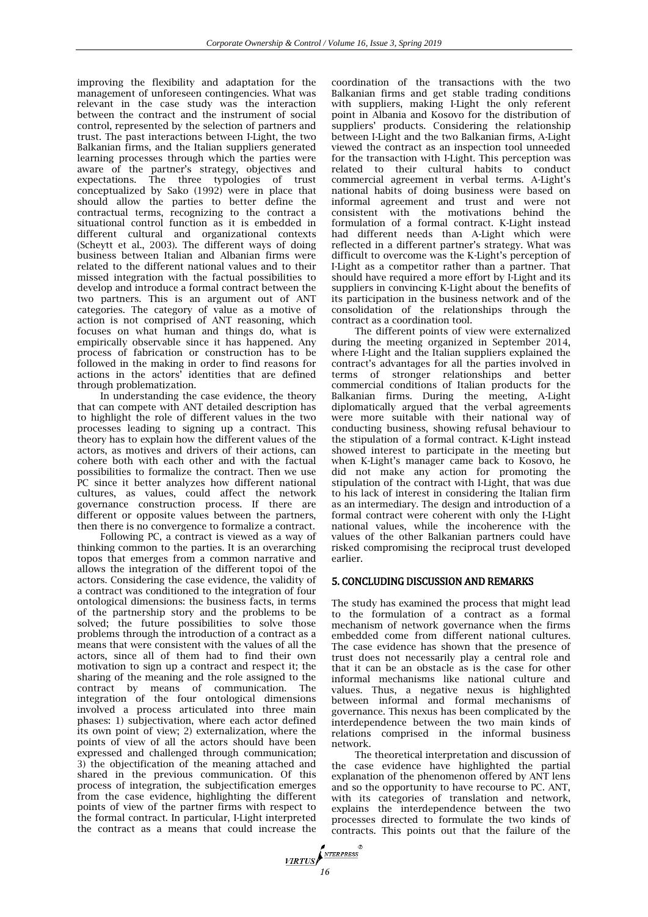improving the flexibility and adaptation for the management of unforeseen contingencies. What was relevant in the case study was the interaction between the contract and the instrument of social control, represented by the selection of partners and trust. The past interactions between I-Light, the two Balkanian firms, and the Italian suppliers generated learning processes through which the parties were aware of the partner's strategy, objectives and expectations. The three typologies of trust conceptualized by Sako (1992) were in place that should allow the parties to better define the contractual terms, recognizing to the contract a situational control function as it is embedded in different cultural and organizational contexts (Scheytt et al., 2003). The different ways of doing business between Italian and Albanian firms were related to the different national values and to their missed integration with the factual possibilities to develop and introduce a formal contract between the two partners. This is an argument out of ANT categories. The category of value as a motive of action is not comprised of ANT reasoning, which focuses on what human and things do, what is empirically observable since it has happened. Any process of fabrication or construction has to be followed in the making in order to find reasons for actions in the actors' identities that are defined through problematization.

In understanding the case evidence, the theory that can compete with ANT detailed description has to highlight the role of different values in the two processes leading to signing up a contract. This theory has to explain how the different values of the actors, as motives and drivers of their actions, can cohere both with each other and with the factual possibilities to formalize the contract. Then we use PC since it better analyzes how different national cultures, as values, could affect the network governance construction process. If there are different or opposite values between the partners, then there is no convergence to formalize a contract.

Following PC, a contract is viewed as a way of thinking common to the parties. It is an overarching topos that emerges from a common narrative and allows the integration of the different topoi of the actors. Considering the case evidence, the validity of a contract was conditioned to the integration of four ontological dimensions: the business facts, in terms of the partnership story and the problems to be solved; the future possibilities to solve those problems through the introduction of a contract as a means that were consistent with the values of all the actors, since all of them had to find their own motivation to sign up a contract and respect it; the sharing of the meaning and the role assigned to the contract by means of communication. The integration of the four ontological dimensions involved a process articulated into three main phases: 1) subjectivation, where each actor defined its own point of view; 2) externalization, where the points of view of all the actors should have been expressed and challenged through communication; 3) the objectification of the meaning attached and shared in the previous communication. Of this process of integration, the subjectification emerges from the case evidence, highlighting the different points of view of the partner firms with respect to the formal contract. In particular, I-Light interpreted the contract as a means that could increase the

coordination of the transactions with the two Balkanian firms and get stable trading conditions with suppliers, making I-Light the only referent point in Albania and Kosovo for the distribution of suppliers' products. Considering the relationship between I-Light and the two Balkanian firms, A-Light viewed the contract as an inspection tool unneeded for the transaction with I-Light. This perception was related to their cultural habits to conduct commercial agreement in verbal terms. A-Light's national habits of doing business were based on informal agreement and trust and were not consistent with the motivations behind the formulation of a formal contract. K-Light instead had different needs than A-Light which were reflected in a different partner's strategy. What was difficult to overcome was the K-Light's perception of I-Light as a competitor rather than a partner. That should have required a more effort by I-Light and its suppliers in convincing K-Light about the benefits of its participation in the business network and of the consolidation of the relationships through the contract as a coordination tool.

The different points of view were externalized during the meeting organized in September 2014, where I-Light and the Italian suppliers explained the contract's advantages for all the parties involved in terms of stronger relationships and better commercial conditions of Italian products for the Balkanian firms. During the meeting, A-Light diplomatically argued that the verbal agreements were more suitable with their national way of conducting business, showing refusal behaviour to the stipulation of a formal contract. K-Light instead showed interest to participate in the meeting but when K-Light's manager came back to Kosovo, he did not make any action for promoting the stipulation of the contract with I-Light, that was due to his lack of interest in considering the Italian firm as an intermediary. The design and introduction of a formal contract were coherent with only the I-Light national values, while the incoherence with the values of the other Balkanian partners could have risked compromising the reciprocal trust developed earlier.

#### 5. CONCLUDING DISCUSSION AND REMARKS

The study has examined the process that might lead to the formulation of a contract as a formal mechanism of network governance when the firms embedded come from different national cultures. The case evidence has shown that the presence of trust does not necessarily play a central role and that it can be an obstacle as is the case for other informal mechanisms like national culture and values. Thus, a negative nexus is highlighted between informal and formal mechanisms of governance. This nexus has been complicated by the interdependence between the two main kinds of relations comprised in the informal business network.

The theoretical interpretation and discussion of the case evidence have highlighted the partial explanation of the phenomenon offered by ANT lens and so the opportunity to have recourse to PC. ANT, with its categories of translation and network, explains the interdependence between the two processes directed to formulate the two kinds of contracts. This points out that the failure of the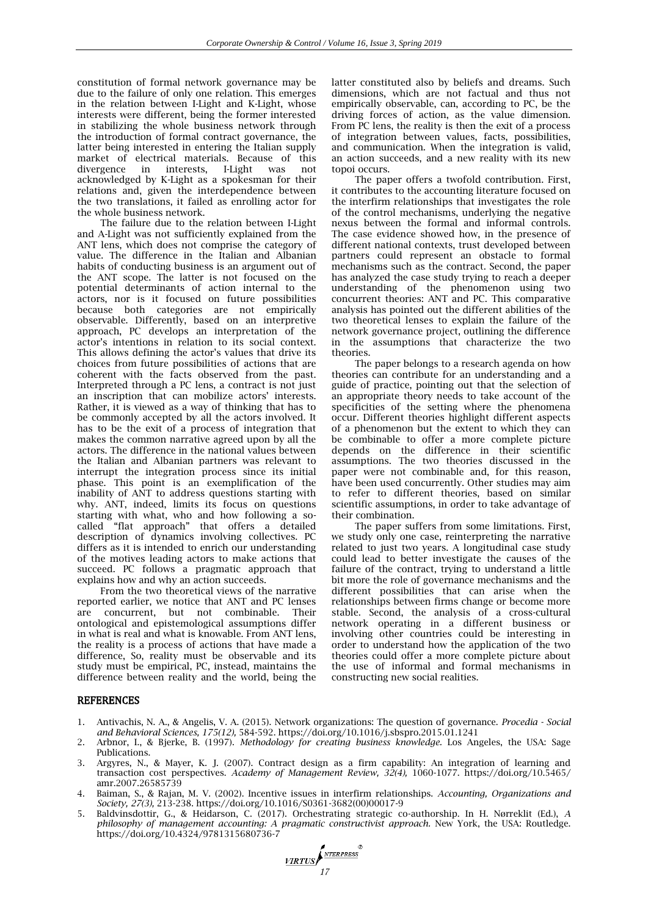constitution of formal network governance may be due to the failure of only one relation. This emerges in the relation between I-Light and K-Light, whose interests were different, being the former interested in stabilizing the whole business network through the introduction of formal contract governance, the latter being interested in entering the Italian supply market of electrical materials. Because of this divergence in interests, I-Light was not in interests, I-Light was not acknowledged by K-Light as a spokesman for their relations and, given the interdependence between the two translations, it failed as enrolling actor for the whole business network.

The failure due to the relation between I-Light and A-Light was not sufficiently explained from the ANT lens, which does not comprise the category of value. The difference in the Italian and Albanian habits of conducting business is an argument out of the ANT scope. The latter is not focused on the potential determinants of action internal to the actors, nor is it focused on future possibilities because both categories are not empirically observable. Differently, based on an interpretive approach, PC develops an interpretation of the actor's intentions in relation to its social context. This allows defining the actor's values that drive its choices from future possibilities of actions that are coherent with the facts observed from the past. Interpreted through a PC lens, a contract is not just an inscription that can mobilize actors' interests. Rather, it is viewed as a way of thinking that has to be commonly accepted by all the actors involved. It has to be the exit of a process of integration that makes the common narrative agreed upon by all the actors. The difference in the national values between the Italian and Albanian partners was relevant to interrupt the integration process since its initial phase. This point is an exemplification of the inability of ANT to address questions starting with why. ANT, indeed, limits its focus on questions starting with what, who and how following a socalled "flat approach" that offers a detailed description of dynamics involving collectives. PC differs as it is intended to enrich our understanding of the motives leading actors to make actions that succeed. PC follows a pragmatic approach that explains how and why an action succeeds.

From the two theoretical views of the narrative reported earlier, we notice that ANT and PC lenses are concurrent, but not combinable. Their ontological and epistemological assumptions differ in what is real and what is knowable. From ANT lens, the reality is a process of actions that have made a difference, So, reality must be observable and its study must be empirical, PC, instead, maintains the difference between reality and the world, being the latter constituted also by beliefs and dreams. Such dimensions, which are not factual and thus not empirically observable, can, according to PC, be the driving forces of action, as the value dimension. From PC lens, the reality is then the exit of a process of integration between values, facts, possibilities, and communication. When the integration is valid, an action succeeds, and a new reality with its new topoi occurs.

The paper offers a twofold contribution. First, it contributes to the accounting literature focused on the interfirm relationships that investigates the role of the control mechanisms, underlying the negative nexus between the formal and informal controls. The case evidence showed how, in the presence of different national contexts, trust developed between partners could represent an obstacle to formal mechanisms such as the contract. Second, the paper has analyzed the case study trying to reach a deeper understanding of the phenomenon using two concurrent theories: ANT and PC. This comparative analysis has pointed out the different abilities of the two theoretical lenses to explain the failure of the network governance project, outlining the difference in the assumptions that characterize the two theories.

The paper belongs to a research agenda on how theories can contribute for an understanding and a guide of practice, pointing out that the selection of an appropriate theory needs to take account of the specificities of the setting where the phenomena occur. Different theories highlight different aspects of a phenomenon but the extent to which they can be combinable to offer a more complete picture depends on the difference in their scientific assumptions. The two theories discussed in the paper were not combinable and, for this reason, have been used concurrently. Other studies may aim to refer to different theories, based on similar scientific assumptions, in order to take advantage of their combination.

The paper suffers from some limitations. First, we study only one case, reinterpreting the narrative related to just two years. A longitudinal case study could lead to better investigate the causes of the failure of the contract, trying to understand a little bit more the role of governance mechanisms and the different possibilities that can arise when the relationships between firms change or become more stable. Second, the analysis of a cross-cultural network operating in a different business or involving other countries could be interesting in order to understand how the application of the two theories could offer a more complete picture about the use of informal and formal mechanisms in constructing new social realities.

#### **REFERENCES**

- 1. Antivachis, N. A., & Angelis, V. A. (2015). Network organizations: The question of governance. *Procedia - Social and Behavioral Sciences, 175(12),* 584-592. https://doi.org/10.1016/j.sbspro.2015.01.1241
- 2. Arbnor, I., & Bjerke, B. (1997). *Methodology for creating business knowledge.* Los Angeles, the USA: Sage Publications.
- 3. Argyres, N., & Mayer, K. J. (2007). Contract design as a firm capability: An integration of learning and transaction cost perspectives. *Academy of Management Review, 32(4),* 1060-1077. https://doi.org/10.5465/ amr.2007.26585739
- 4. Baiman, S., & Rajan, M. V. (2002). Incentive issues in interfirm relationships. *Accounting, Organizations and Society, 27(3),* 213-238. https://doi.org/10.1016/S0361-3682(00)00017-9
- 5. Baldvinsdottir, G., & Heidarson, C. (2017). Orchestrating strategic co-authorship. In H. Nørreklit (Ed.), *A philosophy of management accounting: A pragmatic constructivist approach.* New York, the USA: Routledge. https://doi.org/10.4324/9781315680736-7

*17*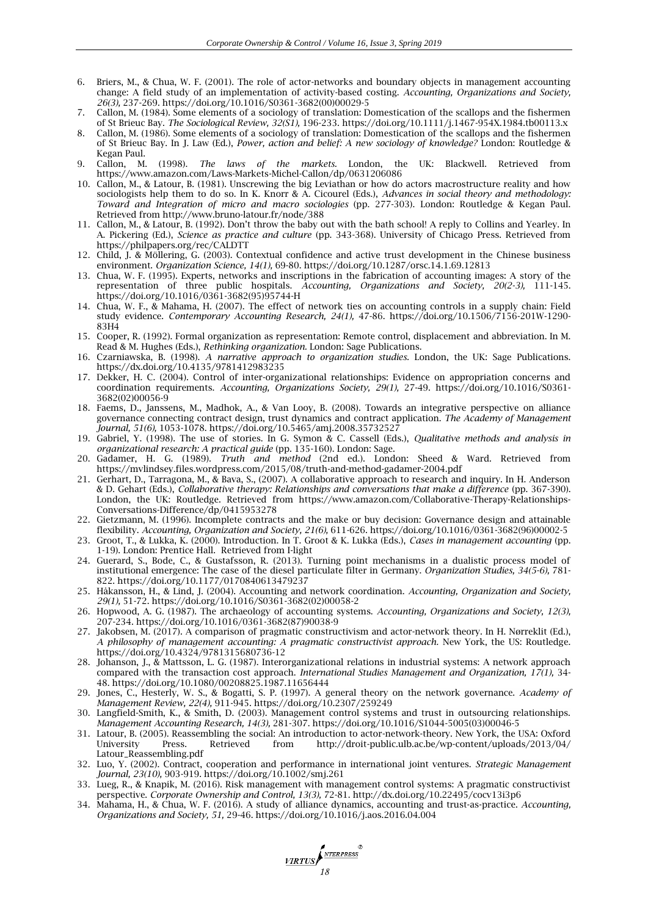- 6. Briers, M., & Chua, W. F. (2001). The role of actor-networks and boundary objects in management accounting change: A field study of an implementation of activity-based costing. *Accounting, Organizations and Society, 26(3),* 237-269. https://doi.org/10.1016/S0361-3682(00)00029-5
- 7. Callon, M. (1984). Some elements of a sociology of translation: Domestication of the scallops and the fishermen of St Brieuc Bay. *The Sociological Review, 32(S1),* 196-233. https://doi.org/10.1111/j.1467-954X.1984.tb00113.x
- 8. Callon, M. (1986). Some elements of a sociology of translation: Domestication of the scallops and the fishermen of St Brieuc Bay. In J. Law (Ed.), *Power, action and belief: A new sociology of knowledge?* London: Routledge & Kegan Paul.
- 9. Callon, M. (1998). *The laws of the markets.* London, the UK: Blackwell. Retrieved from https://www.amazon.com/Laws-Markets-Michel-Callon/dp/0631206086
- 10. Callon, M., & Latour, B. (1981). Unscrewing the big Leviathan or how do actors macrostructure reality and how sociologists help them to do so. In K. Knorr & A. Cicourel (Eds.), *Advances in social theory and methodology: Toward and Integration of micro and macro sociologies* (pp. 277-303). London: Routledge & Kegan Paul. Retrieved from http://www.bruno-latour.fr/node/388
- 11. Callon, M., & Latour, B. (1992). Don't throw the baby out with the bath school! A reply to Collins and Yearley. In A. Pickering (Ed.), *Science as practice and culture* (pp. 343-368). University of Chicago Press. Retrieved from https://philpapers.org/rec/CALDTT
- 12. Child, J. & Möllering, G. (2003). Contextual confidence and active trust development in the Chinese business environment. *Organization Science, 14(1),* 69-80. https://doi.org/10.1287/orsc.14.1.69.12813
- 13. Chua, W. F. (1995). Experts, networks and inscriptions in the fabrication of accounting images: A story of the representation of three public hospitals. *Accounting, Organizations and Society, 20(2-3),* 111-145. https://doi.org/10.1016/0361-3682(95)95744-H
- 14. Chua, W. F., & Mahama, H. (2007). The effect of network ties on accounting controls in a supply chain: Field study evidence. *Contemporary Accounting Research, 24(1),* 47-86. https://doi.org/10.1506/7156-201W-1290- 83H4
- 15. Cooper, R. (1992). Formal organization as representation: Remote control, displacement and abbreviation. In M. Read & M. Hughes (Eds.), *Rethinking organization.* London: Sage Publications.
- 16. Czarniawska, B. (1998). *A narrative approach to organization studies.* London, the UK: Sage Publications. https://dx.doi.org/10.4135/9781412983235
- 17. Dekker, H. C. (2004). Control of inter-organizational relationships: Evidence on appropriation concerns and coordination requirements. *Accounting, Organizations Society, 29(1),* 27-49. https://doi.org/10.1016/S0361- 3682(02)00056-9
- 18. Faems, D., Janssens, M., Madhok, A., & Van Looy, B. (2008). Towards an integrative perspective on alliance governance connecting contract design, trust dynamics and contract application. *The Academy of Management Journal, 51(6),* 1053-1078. https://doi.org/10.5465/amj.2008.35732527
- 19. Gabriel, Y. (1998). The use of stories. In G. Symon & C. Cassell (Eds.), *Qualitative methods and analysis in organizational research: A practical guide* (pp. 135-160). London: Sage.
- 20. Gadamer, H. G. (1989). *Truth and method* (2nd ed.). London: Sheed & Ward. Retrieved from https://mvlindsey.files.wordpress.com/2015/08/truth-and-method-gadamer-2004.pdf
- 21. Gerhart, D., Tarragona, M., & Bava, S., (2007). A collaborative approach to research and inquiry. In H. Anderson & D. Gehart (Eds.), *Collaborative therapy: Relationships and conversations that make a difference* (pp. 367-390). London, the UK: Routledge. Retrieved from https://www.amazon.com/Collaborative-Therapy-Relationships-Conversations-Difference/dp/0415953278
- 22. Gietzmann, M. (1996). Incomplete contracts and the make or buy decision: Governance design and attainable flexibility. *Accounting, Organization and Society, 21(6),* 611-626. https://doi.org/10.1016/0361-3682(96)00002-5
- 23. Groot, T., & Lukka, K. (2000). Introduction. In T. Groot & K. Lukka (Eds.), *Cases in management accounting* (pp. 1-19). London: Prentice Hall. Retrieved from I-light
- 24. Guerard, S., Bode, C., & Gustafsson, R. (2013). Turning point mechanisms in a dualistic process model of institutional emergence: The case of the diesel particulate filter in Germany. *Organization Studies, 34(5-6),* 781- 822. https://doi.org/10.1177/0170840613479237
- 25. Håkansson, H., & Lind, J. (2004). Accounting and network coordination. *Accounting, Organization and Society, 29(1),* 51-72. https://doi.org/10.1016/S0361-3682(02)00058-2
- 26. Hopwood, A. G. (1987). The archaeology of accounting systems. *Accounting, Organizations and Society, 12(3),* 207-234. https://doi.org/10.1016/0361-3682(87)90038-9
- 27. Jakobsen, M. (2017). A comparison of pragmatic constructivism and actor-network theory. In H. Nørreklit (Ed.), *A philosophy of management accounting: A pragmatic constructivist approach.* New York, the US: Routledge. https://doi.org/10.4324/9781315680736-12
- 28. Johanson, J., & Mattsson, L. G. (1987). Interorganizational relations in industrial systems: A network approach compared with the transaction cost approach. *International Studies Management and Organization, 17(1),* 34- 48. https://doi.org/10.1080/00208825.1987.11656444
- 29. Jones, C., Hesterly, W. S., & Bogatti, S. P. (1997). A general theory on the network governance. *Academy of Management Review, 22(4),* 911-945. https://doi.org/10.2307/259249
- 30. Langfield-Smith, K., & Smith, D. (2003). Management control systems and trust in outsourcing relationships. *Management Accounting Research, 14(3),* 281-307. https://doi.org/10.1016/S1044-5005(03)00046-5
- 31. Latour, B. (2005). Reassembling the social: An introduction to actor-network-theory. New York, the USA: Oxford University Press. Retrieved from http://droit-public.ulb.ac.be/wp-content/uploads/2013/04/ Latour\_Reassembling.pdf
- 32. Luo, Y. (2002). Contract, cooperation and performance in international joint ventures. *Strategic Management Journal, 23(10),* 903-919. https://doi.org/10.1002/smj.261
- 33. Lueg, R., & Knapik, M. (2016). Risk management with management control systems: A pragmatic constructivist perspective. *Corporate Ownership and Control, 13(3),* 72-81. http://dx.doi.org/10.22495/cocv13i3p6
- 34. Mahama, H., & Chua, W. F. (2016). A study of alliance dynamics, accounting and trust-as-practice. *Accounting, Organizations and Society, 51,* 29-46. https://doi.org/10.1016/j.aos.2016.04.004

**17RTUS**